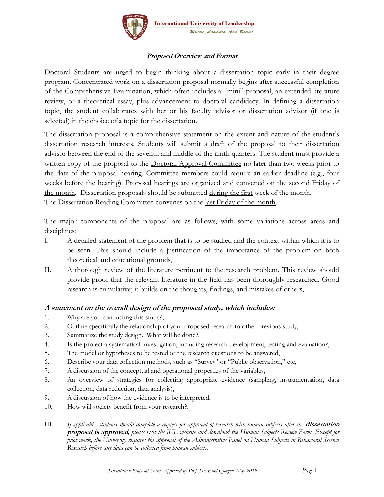

## **Proposal Overview and Format**

Doctoral Students are urged to begin thinking about a dissertation topic early in their degree program. Concentrated work on a dissertation proposal normally begins after successful completion of the Comprehensive Examination, which often includes a "mini" proposal, an extended literature review, or a theoretical essay, plus advancement to doctoral candidacy. In defining a dissertation topic, the student collaborates with her or his faculty advisor or dissertation advisor (if one is selected) in the choice of a topic for the dissertation.

The dissertation proposal is a comprehensive statement on the extent and nature of the student's dissertation research interests. Students will submit a draft of the proposal to their dissertation advisor between the end of the seventh and middle of the ninth quarters. The student must provide a written copy of the proposal to the Doctoral Approval Committee no later than two weeks prior to the date of the proposal hearing. Committee members could require an earlier deadline (e.g., four weeks before the hearing). Proposal hearings are organized and convened on the second Friday of the month. Dissertation proposals should be submitted during the first week of the month. The Dissertation Reading Committee convenes on the last Friday of the month.

The major components of the proposal are as follows, with some variations across areas and disciplines:

- I. A detailed statement of the problem that is to be studied and the context within which it is to be seen. This should include a justification of the importance of the problem on both theoretical and educational grounds,
- II. A thorough review of the literature pertinent to the research problem. This review should provide proof that the relevant literature in the field has been thoroughly researched. Good research is cumulative; it builds on the thoughts, findings, and mistakes of others,

## **A statement on the overall design of the proposed study, which includes:**

- 1. Why are you conducting this study?,
- 2. Outline specifically the relationship of your proposed research to other previous study,
- 3. Summarize the study design. What will be done?,
- 4. Is the project a systematical investigation, including research development, testing and evaluation?,
- 5. The model or hypotheses to be tested or the research questions to be answered,
- 6. Describe your data collection methods, such as "Survey" or "Public observation," etc,
- 7. A discussion of the conceptual and operational properties of the variables,
- 8. An overview of strategies for collecting appropriate evidence (sampling, instrumentation, data collection, data reduction, data analysis),
- 9. A discussion of how the evidence is to be interpreted,
- 10. How will society benefit from your research?.
- III. *If applicable, students should complete a request for approval of research with human subjects after the* **dissertation proposal is approved***, please visit the IUL website and download the Human Subjects Review Form. Except for pilot work, the University requires the approval of the Administrative Panel on Human Subjects in Behavioral Science Research before any data can be collected from human subjects*.